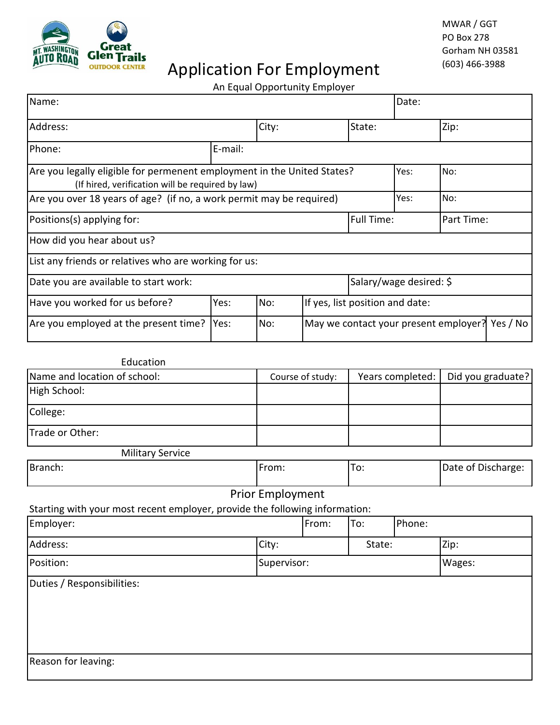

# Application For Employment (603) 466-3988

## An Equal Opportunity Employer

| Name:                                                                                                                               |         |       |                                       |                                 | Date: |      |          |
|-------------------------------------------------------------------------------------------------------------------------------------|---------|-------|---------------------------------------|---------------------------------|-------|------|----------|
| Address:                                                                                                                            |         | City: |                                       | State:                          |       | Zip: |          |
| Phone:                                                                                                                              | E-mail: |       |                                       |                                 |       |      |          |
| Are you legally eligible for permenent employment in the United States?<br>Yes:<br>(If hired, verification will be required by law) |         |       |                                       |                                 |       | No:  |          |
| Are you over 18 years of age? (if no, a work permit may be required)                                                                |         |       |                                       |                                 | Yes:  | No:  |          |
| Positions(s) applying for:                                                                                                          |         |       |                                       | <b>Full Time:</b><br>Part Time: |       |      |          |
| How did you hear about us?                                                                                                          |         |       |                                       |                                 |       |      |          |
| List any friends or relatives who are working for us:                                                                               |         |       |                                       |                                 |       |      |          |
| Date you are available to start work:                                                                                               |         |       |                                       | Salary/wage desired: \$         |       |      |          |
| Have you worked for us before?                                                                                                      | Yes:    | No:   | If yes, list position and date:       |                                 |       |      |          |
| Are you employed at the present time?                                                                                               | Yes:    | No:   | May we contact your present employer? |                                 |       |      | Yes / No |

| Education                                                                   |                         |       |                  |        |                    |  |
|-----------------------------------------------------------------------------|-------------------------|-------|------------------|--------|--------------------|--|
| Name and location of school:                                                | Course of study:        |       | Years completed: |        | Did you graduate?  |  |
| High School:                                                                |                         |       |                  |        |                    |  |
| College:                                                                    |                         |       |                  |        |                    |  |
| Trade or Other:                                                             |                         |       |                  |        |                    |  |
| <b>Military Service</b>                                                     |                         |       |                  |        |                    |  |
| Branch:                                                                     | From:                   |       | To:              |        | Date of Discharge: |  |
|                                                                             | <b>Prior Employment</b> |       |                  |        |                    |  |
| Starting with your most recent employer, provide the following information: |                         |       |                  |        |                    |  |
| Employer:                                                                   |                         | From: | To:              | Phone: |                    |  |
| Address:                                                                    | City:                   |       | State:           |        | Zip:               |  |
| Position:                                                                   | Supervisor:             |       |                  |        | Wages:             |  |
| Duties / Responsibilities:                                                  |                         |       |                  |        |                    |  |
|                                                                             |                         |       |                  |        |                    |  |
|                                                                             |                         |       |                  |        |                    |  |
|                                                                             |                         |       |                  |        |                    |  |
|                                                                             |                         |       |                  |        |                    |  |
| Reason for leaving:                                                         |                         |       |                  |        |                    |  |